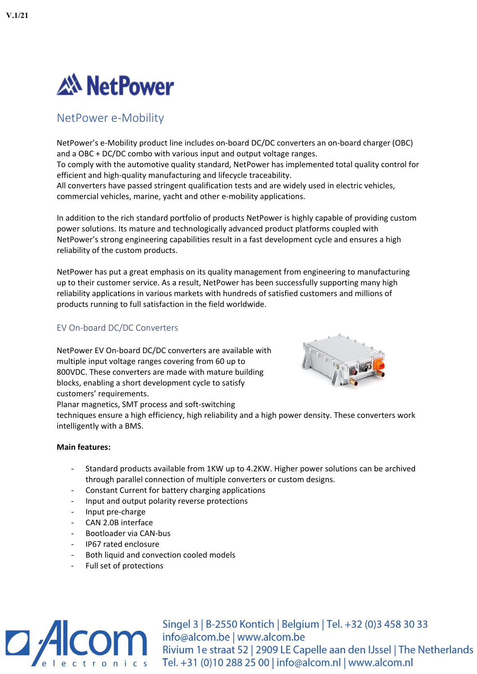

# NetPower e-Mobility

NetPower's e-Mobility product line includes on-board DC/DC converters an on-board charger (OBC) and a OBC + DC/DC combo with various input and output voltage ranges. To comply with the automotive quality standard, NetPower has implemented total quality control for efficient and high-quality manufacturing and lifecycle traceability. All converters have passed stringent qualification tests and are widely used in electric vehicles, commercial vehicles, marine, yacht and other e-mobility applications.

In addition to the rich standard portfolio of products NetPower is highly capable of providing custom power solutions. Its mature and technologically advanced product platforms coupled with NetPower's strong engineering capabilities result in a fast development cycle and ensures a high reliability of the custom products.

NetPower has put a great emphasis on its quality management from engineering to manufacturing up to their customer service. As a result, NetPower has been successfully supporting many high reliability applications in various markets with hundreds of satisfied customers and millions of products running to full satisfaction in the field worldwide.

## EV On-board DC/DC Converters

NetPower EV On-board DC/DC converters are available with multiple input voltage ranges covering from 60 up to 800VDC. These converters are made with mature building blocks, enabling a short development cycle to satisfy customers' requirements. Planar magnetics, SMT process and soft-switching



techniques ensure a high efficiency, high reliability and a high power density. These converters work intelligently with a BMS.

#### **Main features:**

- Standard products available from 1KW up to 4.2KW. Higher power solutions can be archived through parallel connection of multiple converters or custom designs.
- Constant Current for battery charging applications
- Input and output polarity reverse protections
- Input pre-charge
- CAN 2.0B interface
- Bootloader via CAN-bus
- IP67 rated enclosure
- Both liquid and convection cooled models
- Full set of protections



Singel 3 | B-2550 Kontich | Belgium | Tel. +32 (0) 3 458 30 33 Singel 3 | B-2550 Kontich | Belgium | Tel. +32 (0)3 458 30 33<br>
info@alcom.be | www.alcom.be<br>
Rivium 1e straat 52 | 2909 LE Capelle aan den IJssel | The Netherlands Tel. +31 (0)10 288 25 00 | info@alcom.nl | www.alcom.nl